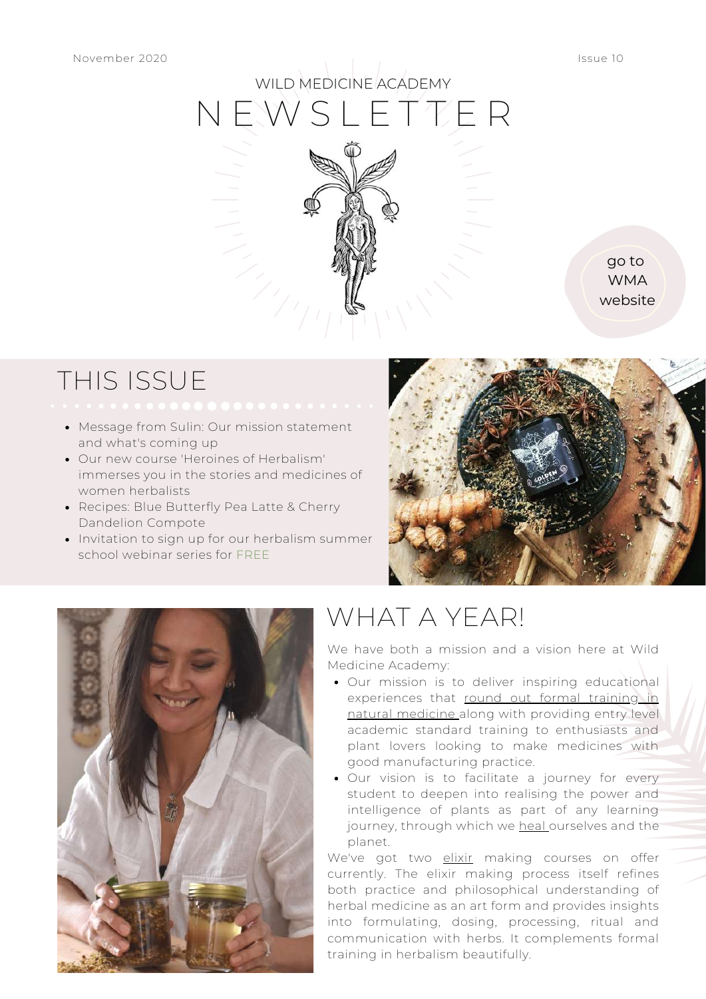

go to WMA [website](http://www.wildmedicineacademy.com/)

### THIS ISSUE

- Message from Sulin: Our mission statement and what's coming up
- Our new course 'Heroines of Herbalism' immerses you in the stories and medicines of women herbalists
- Recipes: Blue Butterfly Pea Latte & Cherry Dandelion Compote
- Invitation to sign up for our herbalism summer school webinar series for FREE





## WHAT A YEAR!

We have both a mission and a vision here at Wild Medicine Academy:

- Our mission is to deliver inspiring educational experiences that round out formal training in natural medicine along with providing entry level academic standard training to enthusiasts and plant lovers looking to make medicines with good manufacturing practice.
- Our vision is to facilitate a journey for every student to deepen into realising the power and intelligence of plants as part of any learning journey, through which we heal ourselves and the planet.

We've got two elixir making courses on offer currently. The elixir making process itself refines both practice and philosophical understanding of herbal medicine as an art form and provides insights into formulating, dosing, processing, ritual and communication with herbs. It complements formal training in herbalism beautifully.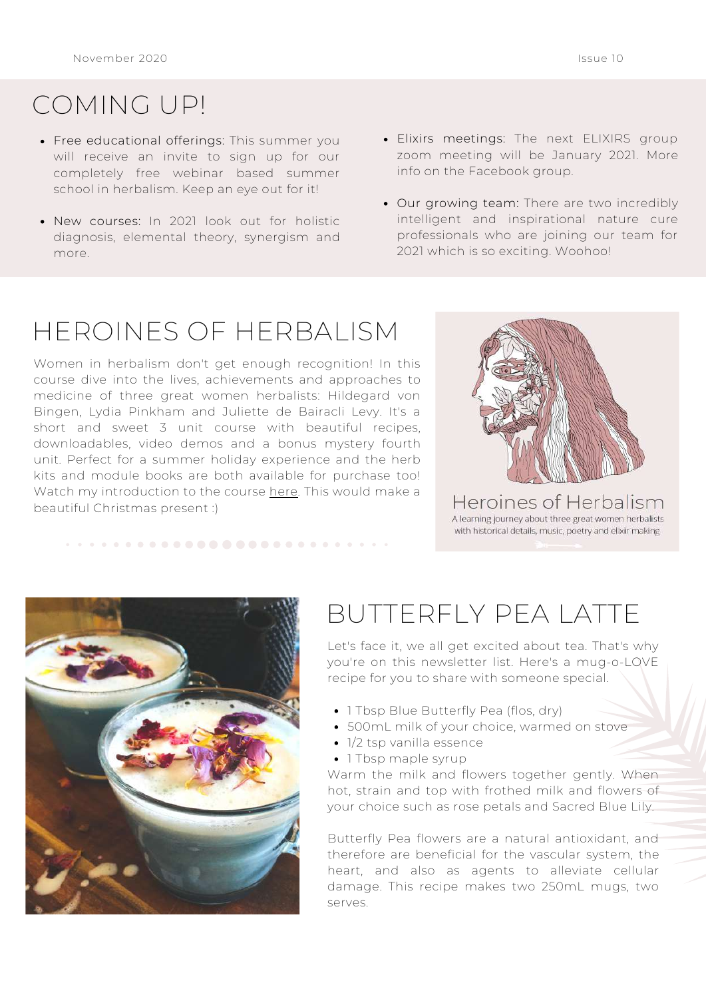### COMING UP!

- Free educational offerings: This summer you will receive an invite to sign up for our completely free webinar based summer school in herbalism. Keep an eye out for it!
- New courses: In 2021 look out for holistic diagnosis, elemental theory, synergism and more.
- Elixirs meetings: The next ELIXIRS group zoom meeting will be January 2021. More info on the Facebook group.
- Our growing team: There are two incredibly intelligent and inspirational nature cure professionals who are joining our team for 2021 which is so exciting. Woohoo!

# HEROINES OF HERBALISM

Women in herbalism don't get enough recognition! In this course dive into the lives, achievements and approaches to medicine of three great women herbalists: Hildegard von Bingen, Lydia Pinkham and Juliette de Bairacli Levy. It's a short and sweet 3 unit course with beautiful recipes, downloadables, video demos and a bonus mystery fourth unit. Perfect for a summer holiday experience and the herb kits and module books are both available for purchase too! Watch my introduction to the course [here](https://www.wildmedicineacademy.com/?sfwd-courses=heroines-of-herbalism). This would make a beautiful Christmas present :)



Heroines of Herbalism A learning journey about three great women herbalists with historical details, music, poetry and elixir making



## BUTTERFLY PEA LATTE

Let's face it, we all get excited about tea. That's why you're on this newsletter list. Here's a mug-o-LOVE recipe for you to share with someone special.

- 1 Tbsp Blue Butterfly Pea (flos, dry)
- 500mL milk of your choice, warmed on stove
- 1/2 tsp vanilla essence
- 1 Tbsp maple syrup

Warm the milk and flowers together gently. When hot, strain and top with frothed milk and flowers of your choice such as rose petals and Sacred Blue Lily.

Butterfly Pea flowers are a natural antioxidant, and therefore are beneficial for the vascular system, the heart, and also as agents to alleviate cellular damage. This recipe makes two 250mL mugs, two serves.